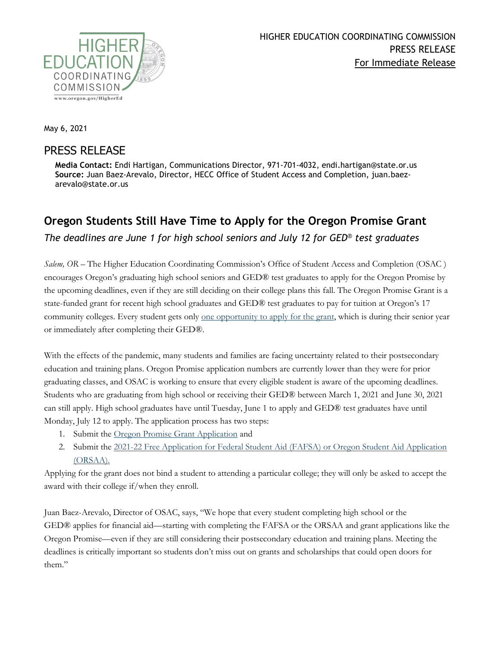

May 6, 2021

## PRESS RELEASE

**Media Contact:** Endi Hartigan, Communications Director, 971-701-4032, endi.hartigan@state.or.us **Source:** Juan Baez-Arevalo, Director, HECC Office of Student Access and Completion, juan.baezarevalo@state.or.us

## **Oregon Students Still Have Time to Apply for the Oregon Promise Grant**

*The deadlines are June 1 for high school seniors and July 12 for GED® test graduates*

*Salem, OR* – The Higher Education Coordinating Commission's Office of Student Access and Completion (OSAC ) encourages Oregon's graduating high school seniors and GED® test graduates to apply for the Oregon Promise by the upcoming deadlines, even if they are still deciding on their college plans this fall. The Oregon Promise Grant is a state-funded grant for recent high school graduates and GED® test graduates to pay for tuition at Oregon's 17 community colleges. Every student gets only <u>one opportunity to apply for the grant</u>, which is during their senior year or immediately after completing their GED®.

With the effects of the pandemic, many students and families are facing uncertainty related to their postsecondary education and training plans. Oregon Promise application numbers are currently lower than they were for prior graduating classes, and OSAC is working to ensure that every eligible student is aware of the upcoming deadlines. Students who are graduating from high school or receiving their GED® between March 1, 2021 and June 30, 2021 can still apply. High school graduates have until Tuesday, June 1 to apply and GED® test graduates have until Monday, July 12 to apply. The application process has two steps:

- 1. Submit the [Oregon Promise Grant Application](https://app.oregonstudentaid.gov/) and
- 2. Submit the [2021-22 Free Application for Federal Student Aid \(FAFSA\) or Oregon Student Aid Application](https://oregonstudentaid.gov/fafsa-orsaa.aspx)  [\(ORSAA\).](https://oregonstudentaid.gov/fafsa-orsaa.aspx)

Applying for the grant does not bind a student to attending a particular college; they will only be asked to accept the award with their college if/when they enroll.

Juan Baez-Arevalo, Director of OSAC, says, "We hope that every student completing high school or the GED® applies for financial aid—starting with completing the FAFSA or the ORSAA and grant applications like the Oregon Promise—even if they are still considering their postsecondary education and training plans. Meeting the deadlines is critically important so students don't miss out on grants and scholarships that could open doors for them."